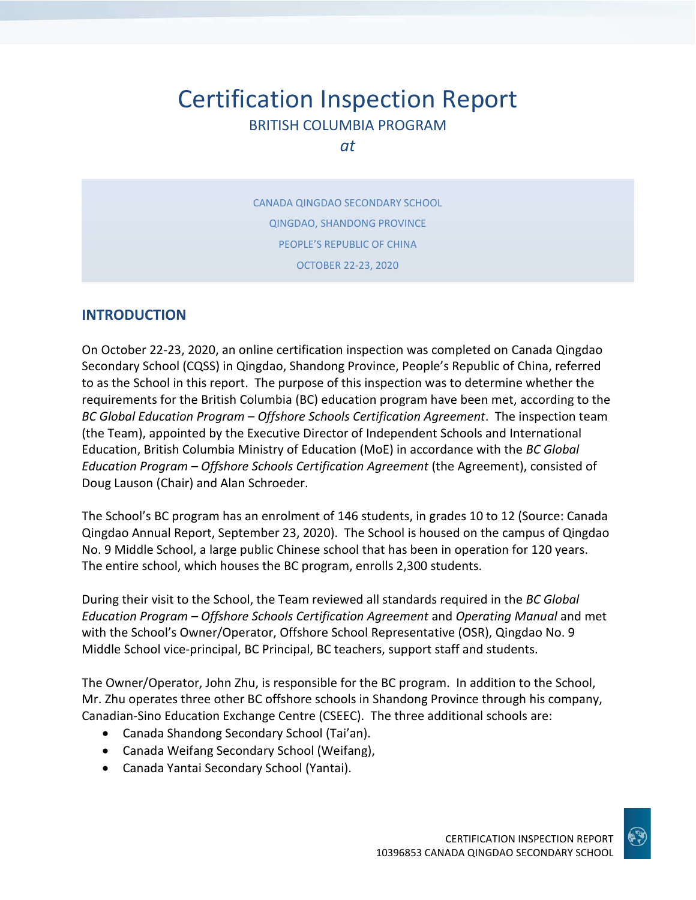# Certification Inspection Report BRITISH COLUMBIA PROGRAM

*at*

CANADA QINGDAO SECONDARY SCHOOL QINGDAO, SHANDONG PROVINCE PEOPLE'S REPUBLIC OF CHINA OCTOBER 22-23, 2020

#### **INTRODUCTION**

On October 22-23, 2020, an online certification inspection was completed on Canada Qingdao Secondary School (CQSS) in Qingdao, Shandong Province, People's Republic of China, referred to as the School in this report. The purpose of this inspection was to determine whether the requirements for the British Columbia (BC) education program have been met, according to the *BC Global Education Program – Offshore Schools Certification Agreement*. The inspection team (the Team), appointed by the Executive Director of Independent Schools and International Education, British Columbia Ministry of Education (MoE) in accordance with the *BC Global Education Program – Offshore Schools Certification Agreement* (the Agreement), consisted of Doug Lauson (Chair) and Alan Schroeder.

The School's BC program has an enrolment of 146 students, in grades 10 to 12 (Source: Canada Qingdao Annual Report, September 23, 2020). The School is housed on the campus of Qingdao No. 9 Middle School, a large public Chinese school that has been in operation for 120 years. The entire school, which houses the BC program, enrolls 2,300 students.

During their visit to the School, the Team reviewed all standards required in the *BC Global Education Program – Offshore Schools Certification Agreement* and *Operating Manual* and met with the School's Owner/Operator, Offshore School Representative (OSR), Qingdao No. 9 Middle School vice-principal, BC Principal, BC teachers, support staff and students.

The Owner/Operator, John Zhu, is responsible for the BC program. In addition to the School, Mr. Zhu operates three other BC offshore schools in Shandong Province through his company, Canadian-Sino Education Exchange Centre (CSEEC). The three additional schools are:

- Canada Shandong Secondary School (Tai'an).
- Canada Weifang Secondary School (Weifang),
- Canada Yantai Secondary School (Yantai).

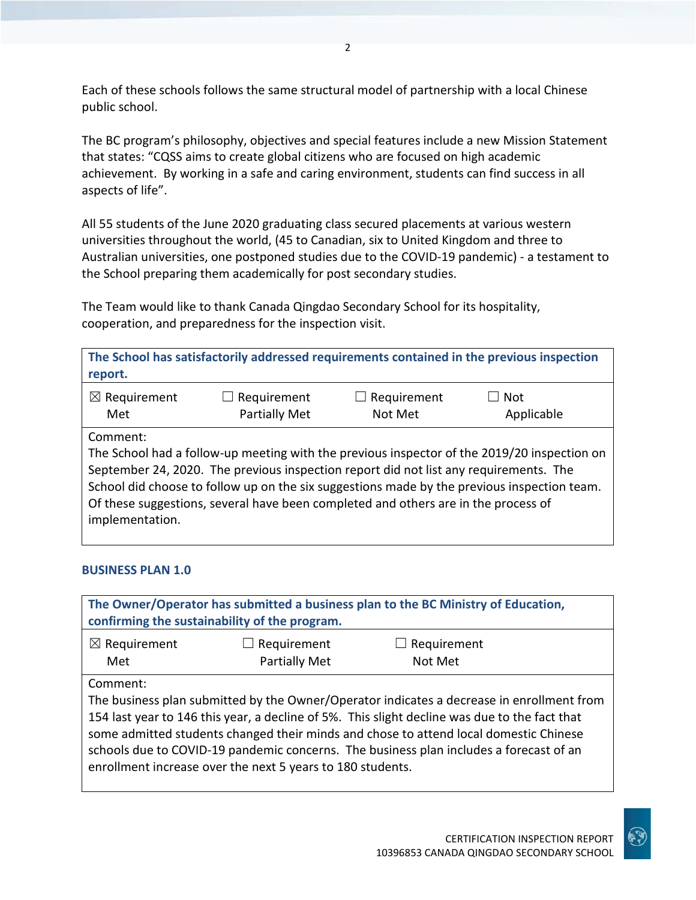Each of these schools follows the same structural model of partnership with a local Chinese public school.

The BC program's philosophy, objectives and special features include a new Mission Statement that states: "CQSS aims to create global citizens who are focused on high academic achievement. By working in a safe and caring environment, students can find success in all aspects of life".

All 55 students of the June 2020 graduating class secured placements at various western universities throughout the world, (45 to Canadian, six to United Kingdom and three to Australian universities, one postponed studies due to the COVID-19 pandemic) - a testament to the School preparing them academically for post secondary studies.

The Team would like to thank Canada Qingdao Secondary School for its hospitality, cooperation, and preparedness for the inspection visit.

| report.                 |                                                                                       |                    | The School has satisfactorily addressed requirements contained in the previous inspection   |
|-------------------------|---------------------------------------------------------------------------------------|--------------------|---------------------------------------------------------------------------------------------|
| $\boxtimes$ Requirement | $\Box$ Requirement                                                                    | $\Box$ Requirement | Not                                                                                         |
| Met                     | Partially Met                                                                         | Not Met            | Applicable                                                                                  |
| Comment:                | September 24, 2020. The previous inspection report did not list any requirements. The |                    | The School had a follow-up meeting with the previous inspector of the 2019/20 inspection on |
| implementation.         | Of these suggestions, several have been completed and others are in the process of    |                    | School did choose to follow up on the six suggestions made by the previous inspection team. |

#### **BUSINESS PLAN 1.0**

| The Owner/Operator has submitted a business plan to the BC Ministry of Education,<br>confirming the sustainability of the program. |                                                            |                                                                                                                                                                                                                                                                                                                                                                               |  |
|------------------------------------------------------------------------------------------------------------------------------------|------------------------------------------------------------|-------------------------------------------------------------------------------------------------------------------------------------------------------------------------------------------------------------------------------------------------------------------------------------------------------------------------------------------------------------------------------|--|
| $\boxtimes$ Requirement<br>Met                                                                                                     | Requirement<br>$\Box$<br>Partially Met                     | $\Box$ Requirement<br>Not Met                                                                                                                                                                                                                                                                                                                                                 |  |
| Comment:                                                                                                                           | enrollment increase over the next 5 years to 180 students. | The business plan submitted by the Owner/Operator indicates a decrease in enrollment from<br>154 last year to 146 this year, a decline of 5%. This slight decline was due to the fact that<br>some admitted students changed their minds and chose to attend local domestic Chinese<br>schools due to COVID-19 pandemic concerns. The business plan includes a forecast of an |  |

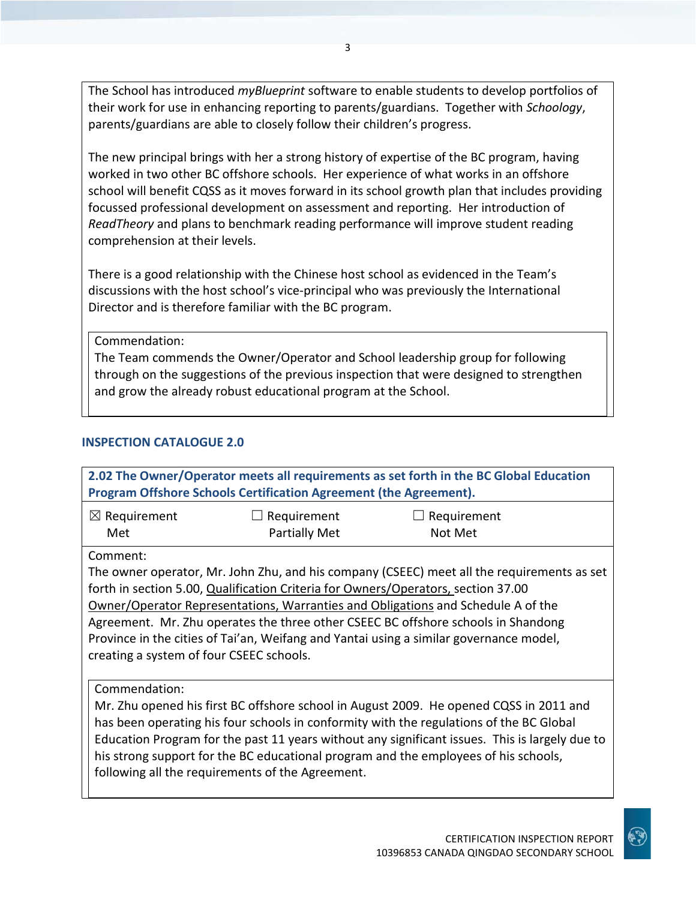The School has introduced *myBlueprint* software to enable students to develop portfolios of their work for use in enhancing reporting to parents/guardians. Together with *Schoology*, parents/guardians are able to closely follow their children's progress.

The new principal brings with her a strong history of expertise of the BC program, having worked in two other BC offshore schools. Her experience of what works in an offshore school will benefit CQSS as it moves forward in its school growth plan that includes providing focussed professional development on assessment and reporting. Her introduction of *ReadTheory* and plans to benchmark reading performance will improve student reading comprehension at their levels.

There is a good relationship with the Chinese host school as evidenced in the Team's discussions with the host school's vice-principal who was previously the International Director and is therefore familiar with the BC program.

Commendation:

The Team commends the Owner/Operator and School leadership group for following through on the suggestions of the previous inspection that were designed to strengthen and grow the already robust educational program at the School.

#### **INSPECTION CATALOGUE 2.0**

| 2.02 The Owner/Operator meets all requirements as set forth in the BC Global Education  |                                                                                   |                                                                                                |  |
|-----------------------------------------------------------------------------------------|-----------------------------------------------------------------------------------|------------------------------------------------------------------------------------------------|--|
| Program Offshore Schools Certification Agreement (the Agreement).                       |                                                                                   |                                                                                                |  |
| $\boxtimes$ Requirement                                                                 | Requirement                                                                       | Requirement                                                                                    |  |
| Met                                                                                     | <b>Partially Met</b>                                                              | Not Met                                                                                        |  |
| Comment:                                                                                |                                                                                   |                                                                                                |  |
|                                                                                         |                                                                                   | The owner operator, Mr. John Zhu, and his company (CSEEC) meet all the requirements as set     |  |
|                                                                                         | forth in section 5.00, Qualification Criteria for Owners/Operators, section 37.00 |                                                                                                |  |
|                                                                                         |                                                                                   | <b>Owner/Operator Representations, Warranties and Obligations and Schedule A of the</b>        |  |
| Agreement. Mr. Zhu operates the three other CSEEC BC offshore schools in Shandong       |                                                                                   |                                                                                                |  |
| Province in the cities of Tai'an, Weifang and Yantai using a similar governance model,  |                                                                                   |                                                                                                |  |
| creating a system of four CSEEC schools.                                                |                                                                                   |                                                                                                |  |
|                                                                                         |                                                                                   |                                                                                                |  |
| Commendation:                                                                           |                                                                                   |                                                                                                |  |
| Mr. Zhu opened his first BC offshore school in August 2009. He opened CQSS in 2011 and  |                                                                                   |                                                                                                |  |
| has been operating his four schools in conformity with the regulations of the BC Global |                                                                                   |                                                                                                |  |
|                                                                                         |                                                                                   | Education Program for the past 11 years without any significant issues. This is largely due to |  |
|                                                                                         |                                                                                   | his strong support for the BC educational program and the employees of his schools,            |  |
|                                                                                         | following all the requirements of the Agreement.                                  |                                                                                                |  |
|                                                                                         |                                                                                   |                                                                                                |  |

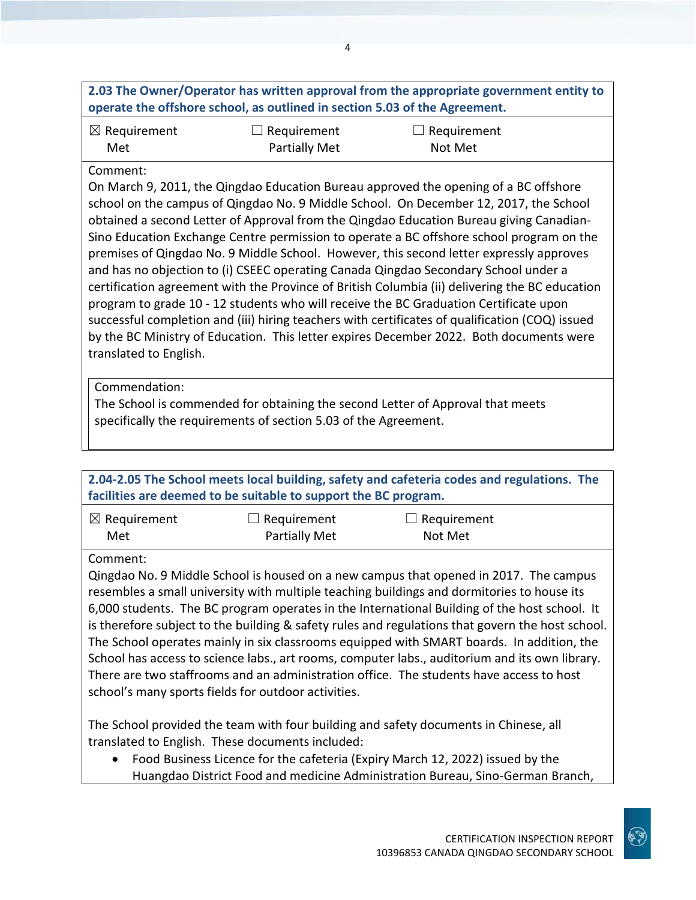| 2.03 The Owner/Operator has written approval from the appropriate government entity to                                                                                         |                                                                            |                                                                                                 |  |
|--------------------------------------------------------------------------------------------------------------------------------------------------------------------------------|----------------------------------------------------------------------------|-------------------------------------------------------------------------------------------------|--|
|                                                                                                                                                                                | operate the offshore school, as outlined in section 5.03 of the Agreement. |                                                                                                 |  |
| $\boxtimes$ Requirement                                                                                                                                                        | Requirement                                                                | Requirement                                                                                     |  |
| Met                                                                                                                                                                            | Partially Met                                                              | Not Met                                                                                         |  |
| Comment:                                                                                                                                                                       |                                                                            |                                                                                                 |  |
|                                                                                                                                                                                |                                                                            | On March 9, 2011, the Qingdao Education Bureau approved the opening of a BC offshore            |  |
|                                                                                                                                                                                |                                                                            | school on the campus of Qingdao No. 9 Middle School. On December 12, 2017, the School           |  |
|                                                                                                                                                                                |                                                                            | obtained a second Letter of Approval from the Qingdao Education Bureau giving Canadian-         |  |
|                                                                                                                                                                                |                                                                            | Sino Education Exchange Centre permission to operate a BC offshore school program on the        |  |
| premises of Qingdao No. 9 Middle School. However, this second letter expressly approves<br>and has no objection to (i) CSEEC operating Canada Qingdao Secondary School under a |                                                                            |                                                                                                 |  |
|                                                                                                                                                                                |                                                                            | certification agreement with the Province of British Columbia (ii) delivering the BC education  |  |
|                                                                                                                                                                                |                                                                            | program to grade 10 - 12 students who will receive the BC Graduation Certificate upon           |  |
|                                                                                                                                                                                |                                                                            | successful completion and (iii) hiring teachers with certificates of qualification (COQ) issued |  |
| by the BC Ministry of Education. This letter expires December 2022. Both documents were                                                                                        |                                                                            |                                                                                                 |  |
| translated to English.                                                                                                                                                         |                                                                            |                                                                                                 |  |
| Commendation:                                                                                                                                                                  |                                                                            |                                                                                                 |  |
|                                                                                                                                                                                |                                                                            |                                                                                                 |  |
| The School is commended for obtaining the second Letter of Approval that meets<br>specifically the requirements of section 5.03 of the Agreement.                              |                                                                            |                                                                                                 |  |
|                                                                                                                                                                                |                                                                            |                                                                                                 |  |
|                                                                                                                                                                                |                                                                            |                                                                                                 |  |

| 2.04-2.05 The School meets local building, safety and cafeteria codes and regulations. The<br>facilities are deemed to be suitable to support the BC program. |                                                     |                                                                                                                                                                                                                                                                                                                                                                                                                                                                                                                                                                                                                                                                                   |  |
|---------------------------------------------------------------------------------------------------------------------------------------------------------------|-----------------------------------------------------|-----------------------------------------------------------------------------------------------------------------------------------------------------------------------------------------------------------------------------------------------------------------------------------------------------------------------------------------------------------------------------------------------------------------------------------------------------------------------------------------------------------------------------------------------------------------------------------------------------------------------------------------------------------------------------------|--|
| $\boxtimes$ Requirement<br>Met                                                                                                                                | $\Box$ Requirement<br>Partially Met                 | Requirement<br>Not Met                                                                                                                                                                                                                                                                                                                                                                                                                                                                                                                                                                                                                                                            |  |
| Comment:                                                                                                                                                      | school's many sports fields for outdoor activities. | Qingdao No. 9 Middle School is housed on a new campus that opened in 2017. The campus<br>resembles a small university with multiple teaching buildings and dormitories to house its<br>6,000 students. The BC program operates in the International Building of the host school. It<br>is therefore subject to the building & safety rules and regulations that govern the host school.<br>The School operates mainly in six classrooms equipped with SMART boards. In addition, the<br>School has access to science labs., art rooms, computer labs., auditorium and its own library.<br>There are two staffrooms and an administration office. The students have access to host |  |
| The School provided the team with four building and safety documents in Chinese, all<br>translated to English. These documents included:                      |                                                     |                                                                                                                                                                                                                                                                                                                                                                                                                                                                                                                                                                                                                                                                                   |  |

• Food Business Licence for the cafeteria (Expiry March 12, 2022) issued by the Huangdao District Food and medicine Administration Bureau, Sino-German Branch,

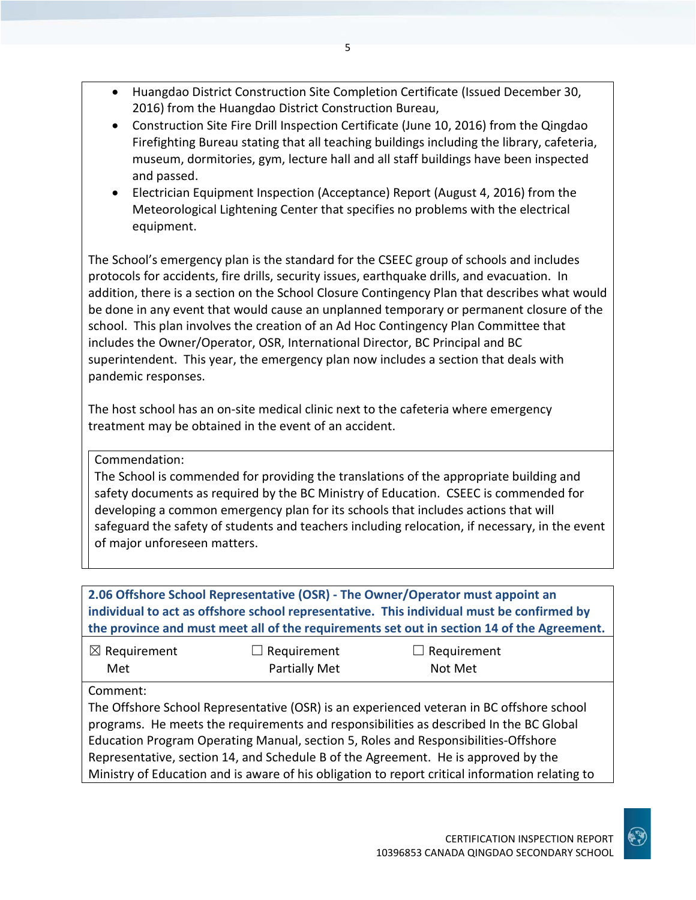- Huangdao District Construction Site Completion Certificate (Issued December 30, 2016) from the Huangdao District Construction Bureau,
- Construction Site Fire Drill Inspection Certificate (June 10, 2016) from the Qingdao Firefighting Bureau stating that all teaching buildings including the library, cafeteria, museum, dormitories, gym, lecture hall and all staff buildings have been inspected and passed.
- Electrician Equipment Inspection (Acceptance) Report (August 4, 2016) from the Meteorological Lightening Center that specifies no problems with the electrical equipment.

The School's emergency plan is the standard for the CSEEC group of schools and includes protocols for accidents, fire drills, security issues, earthquake drills, and evacuation. In addition, there is a section on the School Closure Contingency Plan that describes what would be done in any event that would cause an unplanned temporary or permanent closure of the school. This plan involves the creation of an Ad Hoc Contingency Plan Committee that includes the Owner/Operator, OSR, International Director, BC Principal and BC superintendent. This year, the emergency plan now includes a section that deals with pandemic responses.

The host school has an on-site medical clinic next to the cafeteria where emergency treatment may be obtained in the event of an accident.

Commendation:

The School is commended for providing the translations of the appropriate building and safety documents as required by the BC Ministry of Education. CSEEC is commended for developing a common emergency plan for its schools that includes actions that will safeguard the safety of students and teachers including relocation, if necessary, in the event of major unforeseen matters.

### **2.06 Offshore School Representative (OSR) - The Owner/Operator must appoint an individual to act as offshore school representative. This individual must be confirmed by the province and must meet all of the requirements set out in section 14 of the Agreement.**

| $\boxtimes$ Requirement | $\Box$ Requirement   | $\Box$ Requirement |
|-------------------------|----------------------|--------------------|
| Met                     | <b>Partially Met</b> | Not Met            |

Comment:

The Offshore School Representative (OSR) is an experienced veteran in BC offshore school programs. He meets the requirements and responsibilities as described In the BC Global Education Program Operating Manual, section 5, Roles and Responsibilities-Offshore Representative, section 14, and Schedule B of the Agreement. He is approved by the Ministry of Education and is aware of his obligation to report critical information relating to

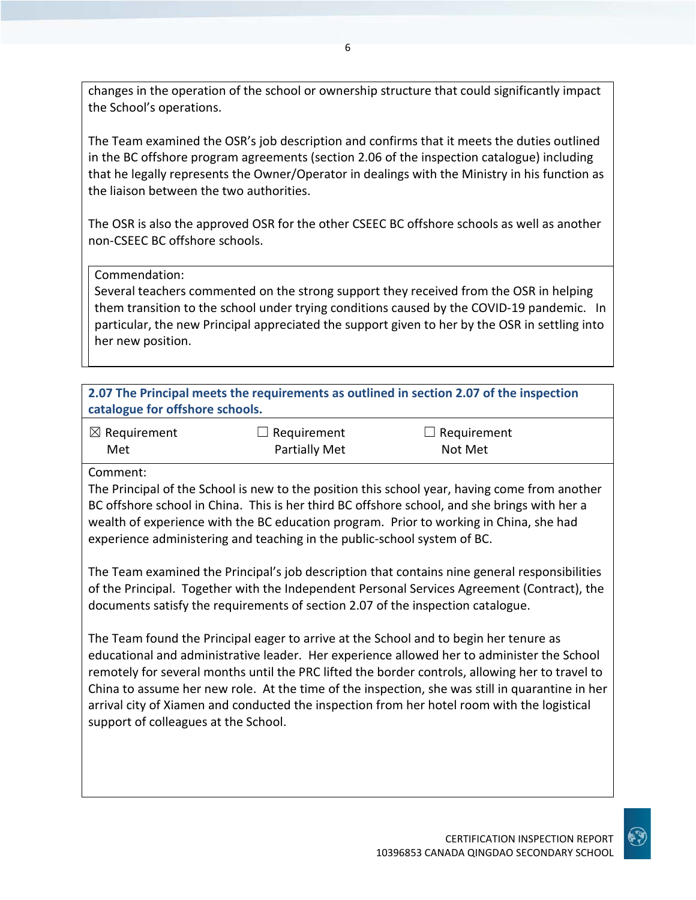changes in the operation of the school or ownership structure that could significantly impact the School's operations.

The Team examined the OSR's job description and confirms that it meets the duties outlined in the BC offshore program agreements (section 2.06 of the inspection catalogue) including that he legally represents the Owner/Operator in dealings with the Ministry in his function as the liaison between the two authorities.

The OSR is also the approved OSR for the other CSEEC BC offshore schools as well as another non-CSEEC BC offshore schools.

#### Commendation:

Several teachers commented on the strong support they received from the OSR in helping them transition to the school under trying conditions caused by the COVID-19 pandemic. In particular, the new Principal appreciated the support given to her by the OSR in settling into her new position.

| 2.07 The Principal meets the requirements as outlined in section 2.07 of the inspection<br>catalogue for offshore schools. |                              |                               |  |
|----------------------------------------------------------------------------------------------------------------------------|------------------------------|-------------------------------|--|
| $\boxtimes$ Requirement<br>Met                                                                                             | Requirement<br>Partially Met | $\Box$ Requirement<br>Not Met |  |
| Comment:                                                                                                                   |                              |                               |  |
| The Principal of the School is new to the position this school year, having come from another                              |                              |                               |  |
| BC offshore school in China. This is her third BC offshore school, and she brings with her a                               |                              |                               |  |
| wealth of experience with the BC education program. Prior to working in China, she had                                     |                              |                               |  |

experience administering and teaching in the public-school system of BC.

The Team examined the Principal's job description that contains nine general responsibilities of the Principal. Together with the Independent Personal Services Agreement (Contract), the documents satisfy the requirements of section 2.07 of the inspection catalogue.

The Team found the Principal eager to arrive at the School and to begin her tenure as educational and administrative leader. Her experience allowed her to administer the School remotely for several months until the PRC lifted the border controls, allowing her to travel to China to assume her new role. At the time of the inspection, she was still in quarantine in her arrival city of Xiamen and conducted the inspection from her hotel room with the logistical support of colleagues at the School.

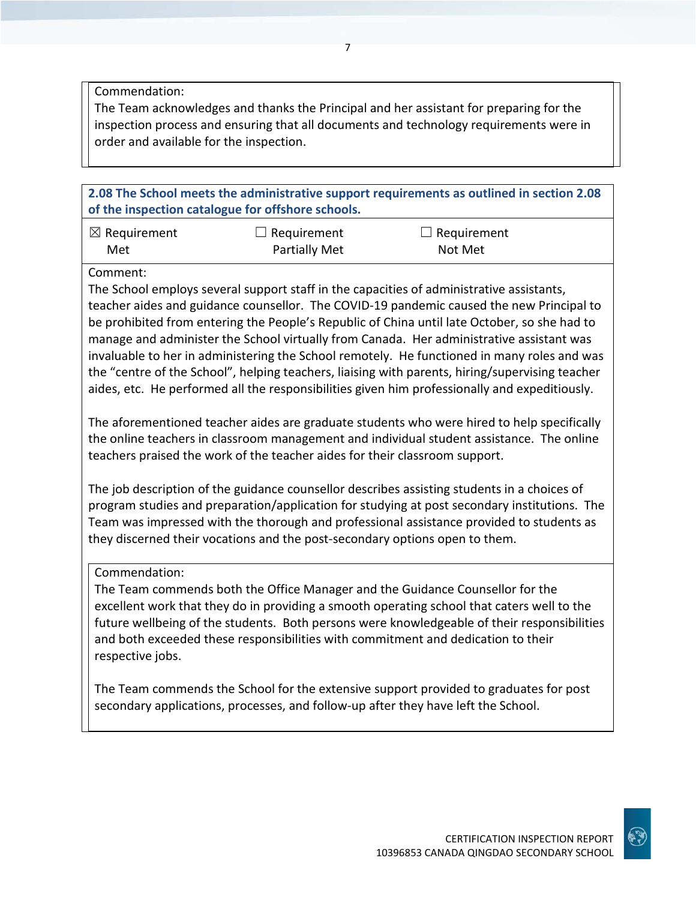Commendation:

The Team acknowledges and thanks the Principal and her assistant for preparing for the inspection process and ensuring that all documents and technology requirements were in order and available for the inspection.

**2.08 The School meets the administrative support requirements as outlined in section 2.08 of the inspection catalogue for offshore schools.**

| $\boxtimes$ Requirement | $\Box$ Requirement   | $\Box$ Requirement |
|-------------------------|----------------------|--------------------|
| Met                     | <b>Partially Met</b> | Not Met            |

Comment:

The School employs several support staff in the capacities of administrative assistants, teacher aides and guidance counsellor. The COVID-19 pandemic caused the new Principal to be prohibited from entering the People's Republic of China until late October, so she had to manage and administer the School virtually from Canada. Her administrative assistant was invaluable to her in administering the School remotely. He functioned in many roles and was the "centre of the School", helping teachers, liaising with parents, hiring/supervising teacher aides, etc. He performed all the responsibilities given him professionally and expeditiously.

The aforementioned teacher aides are graduate students who were hired to help specifically the online teachers in classroom management and individual student assistance. The online teachers praised the work of the teacher aides for their classroom support.

The job description of the guidance counsellor describes assisting students in a choices of program studies and preparation/application for studying at post secondary institutions. The Team was impressed with the thorough and professional assistance provided to students as they discerned their vocations and the post-secondary options open to them.

Commendation:

The Team commends both the Office Manager and the Guidance Counsellor for the excellent work that they do in providing a smooth operating school that caters well to the future wellbeing of the students. Both persons were knowledgeable of their responsibilities and both exceeded these responsibilities with commitment and dedication to their respective jobs.

The Team commends the School for the extensive support provided to graduates for post secondary applications, processes, and follow-up after they have left the School.

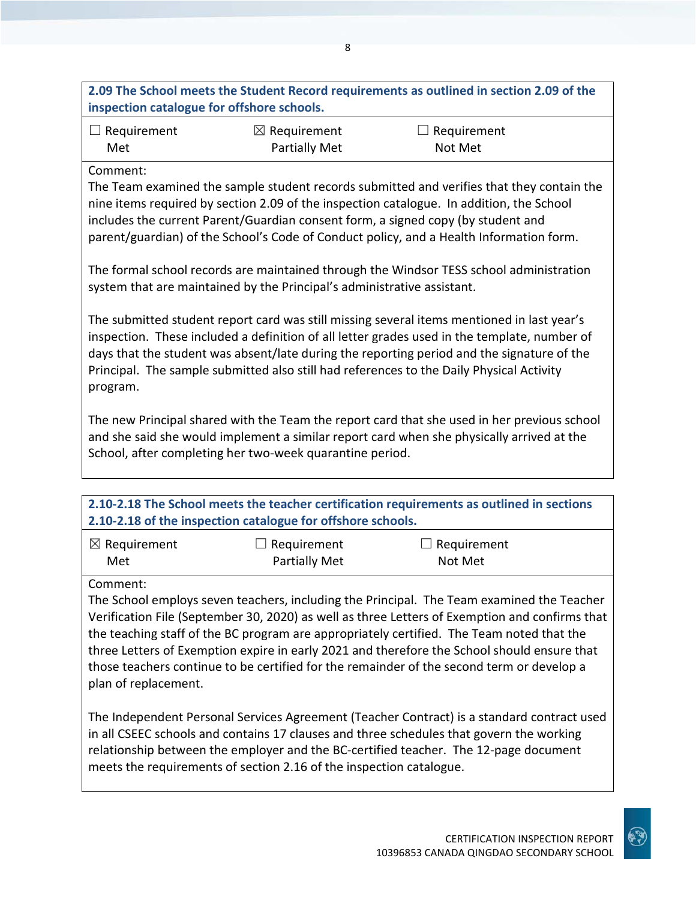**2.09 The School meets the Student Record requirements as outlined in section 2.09 of the inspection catalogue for offshore schools.**

8

| $\Box$ Requirement | $\boxtimes$ Requirement | $\Box$ Requirement |
|--------------------|-------------------------|--------------------|
| Met                | <b>Partially Met</b>    | Not Met            |

#### Comment:

The Team examined the sample student records submitted and verifies that they contain the nine items required by section 2.09 of the inspection catalogue. In addition, the School includes the current Parent/Guardian consent form, a signed copy (by student and parent/guardian) of the School's Code of Conduct policy, and a Health Information form.

The formal school records are maintained through the Windsor TESS school administration system that are maintained by the Principal's administrative assistant.

The submitted student report card was still missing several items mentioned in last year's inspection. These included a definition of all letter grades used in the template, number of days that the student was absent/late during the reporting period and the signature of the Principal. The sample submitted also still had references to the Daily Physical Activity program.

The new Principal shared with the Team the report card that she used in her previous school and she said she would implement a similar report card when she physically arrived at the School, after completing her two-week quarantine period.

#### **2.10-2.18 The School meets the teacher certification requirements as outlined in sections 2.10-2.18 of the inspection catalogue for offshore schools.**

| $\boxtimes$ Requirement | $\Box$ Requirement   | $\Box$ Requirement |
|-------------------------|----------------------|--------------------|
| Met                     | <b>Partially Met</b> | Not Met            |

#### Comment:

The School employs seven teachers, including the Principal. The Team examined the Teacher Verification File (September 30, 2020) as well as three Letters of Exemption and confirms that the teaching staff of the BC program are appropriately certified. The Team noted that the three Letters of Exemption expire in early 2021 and therefore the School should ensure that those teachers continue to be certified for the remainder of the second term or develop a plan of replacement.

The Independent Personal Services Agreement (Teacher Contract) is a standard contract used in all CSEEC schools and contains 17 clauses and three schedules that govern the working relationship between the employer and the BC-certified teacher. The 12-page document meets the requirements of section 2.16 of the inspection catalogue.

10396853 CANADA QINGDAO SECONDARY SCHOOL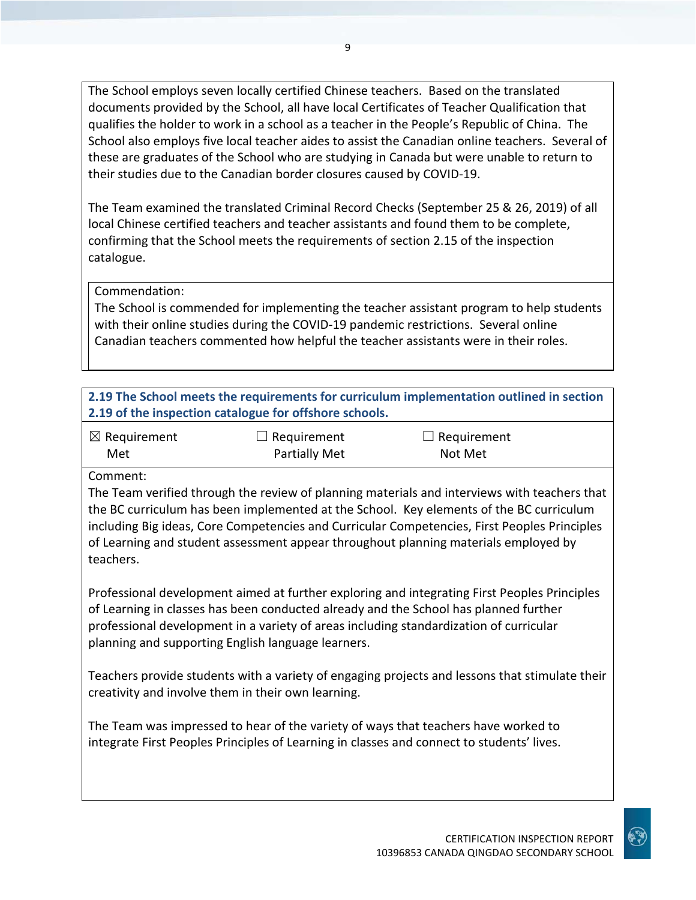The School employs seven locally certified Chinese teachers. Based on the translated documents provided by the School, all have local Certificates of Teacher Qualification that qualifies the holder to work in a school as a teacher in the People's Republic of China. The School also employs five local teacher aides to assist the Canadian online teachers. Several of these are graduates of the School who are studying in Canada but were unable to return to their studies due to the Canadian border closures caused by COVID-19.

The Team examined the translated Criminal Record Checks (September 25 & 26, 2019) of all local Chinese certified teachers and teacher assistants and found them to be complete, confirming that the School meets the requirements of section 2.15 of the inspection catalogue.

Commendation:

The School is commended for implementing the teacher assistant program to help students with their online studies during the COVID-19 pandemic restrictions. Several online Canadian teachers commented how helpful the teacher assistants were in their roles.

**2.19 The School meets the requirements for curriculum implementation outlined in section 2.19 of the inspection catalogue for offshore schools.**

| $\boxtimes$ Requirement | $\Box$ Requirement   | $\Box$ Requirement |
|-------------------------|----------------------|--------------------|
| Met                     | <b>Partially Met</b> | Not Met            |

Comment:

The Team verified through the review of planning materials and interviews with teachers that the BC curriculum has been implemented at the School. Key elements of the BC curriculum including Big ideas, Core Competencies and Curricular Competencies, First Peoples Principles of Learning and student assessment appear throughout planning materials employed by teachers.

Professional development aimed at further exploring and integrating First Peoples Principles of Learning in classes has been conducted already and the School has planned further professional development in a variety of areas including standardization of curricular planning and supporting English language learners.

Teachers provide students with a variety of engaging projects and lessons that stimulate their creativity and involve them in their own learning.

The Team was impressed to hear of the variety of ways that teachers have worked to integrate First Peoples Principles of Learning in classes and connect to students' lives.

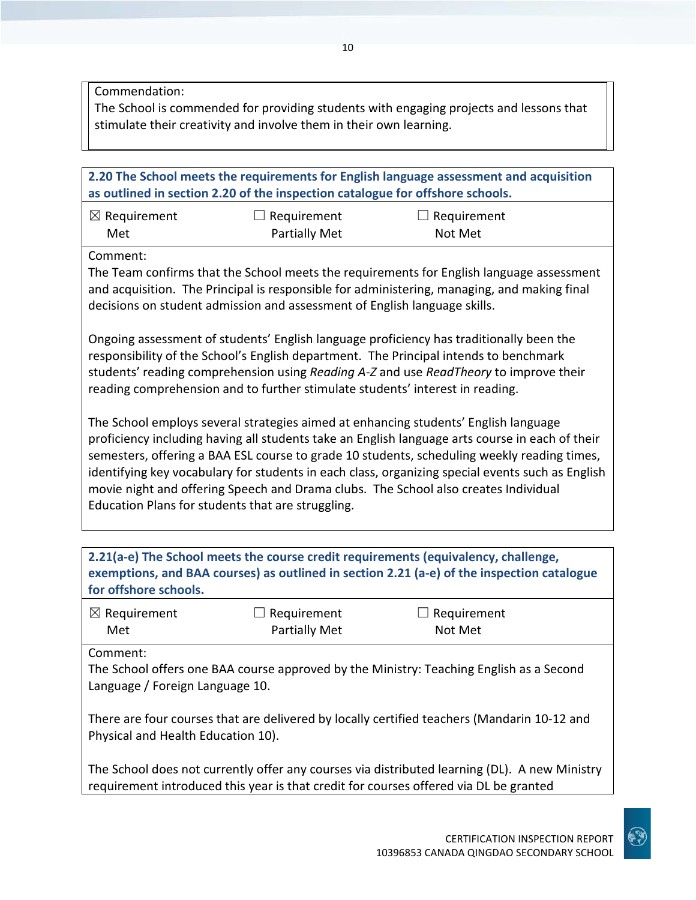Commendation:

The School is commended for providing students with engaging projects and lessons that stimulate their creativity and involve them in their own learning.

| 2.20 The School meets the requirements for English language assessment and acquisition<br>as outlined in section 2.20 of the inspection catalogue for offshore schools.                                                                                                                                                                                                                                                                                              |                                     |                        |  |
|----------------------------------------------------------------------------------------------------------------------------------------------------------------------------------------------------------------------------------------------------------------------------------------------------------------------------------------------------------------------------------------------------------------------------------------------------------------------|-------------------------------------|------------------------|--|
| $\boxtimes$ Requirement<br>Met                                                                                                                                                                                                                                                                                                                                                                                                                                       | $\Box$ Requirement<br>Partially Met | Requirement<br>Not Met |  |
| Comment:<br>The Team confirms that the School meets the requirements for English language assessment<br>and acquisition. The Principal is responsible for administering, managing, and making final<br>decisions on student admission and assessment of English language skills.<br>Ongoing assessment of students' English language proficiency has traditionally been the<br>responsibility of the School's English department. The Principal intends to benchmark |                                     |                        |  |
| students' reading comprehension using Reading A-Z and use ReadTheory to improve their<br>reading comprehension and to further stimulate students' interest in reading.<br>The School employs several strategies aimed at enhancing students' English language                                                                                                                                                                                                        |                                     |                        |  |
| proficiency including having all students take an English language arts course in each of their<br>semesters, offering a BAA ESL course to grade 10 students, scheduling weekly reading times,<br>identifying key vocabulary for students in each class, organizing special events such as English<br>movie night and offering Speech and Drama clubs. The School also creates Individual<br>Education Plans for students that are struggling.                       |                                     |                        |  |

| 2.21(a-e) The School meets the course credit requirements (equivalency, challenge,<br>exemptions, and BAA courses) as outlined in section 2.21 (a-e) of the inspection catalogue<br>for offshore schools. |               |                    |  |
|-----------------------------------------------------------------------------------------------------------------------------------------------------------------------------------------------------------|---------------|--------------------|--|
| $\boxtimes$ Requirement                                                                                                                                                                                   | Requirement   | $\Box$ Requirement |  |
| Met                                                                                                                                                                                                       | Partially Met | Not Met            |  |
| The School offers one BAA course approved by the Ministry: Teaching English as a Second<br>Language / Foreign Language 10.                                                                                |               |                    |  |
| There are four courses that are delivered by locally certified teachers (Mandarin 10-12 and<br>Physical and Health Education 10).                                                                         |               |                    |  |
| The School does not currently offer any courses via distributed learning (DL). A new Ministry<br>requirement introduced this year is that credit for courses offered via DL be granted                    |               |                    |  |

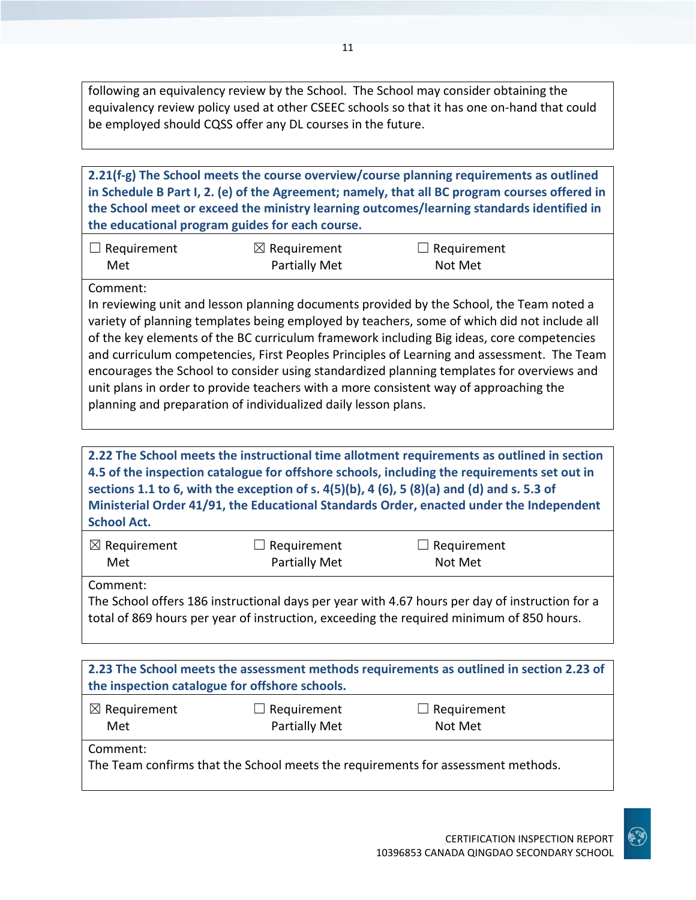following an equivalency review by the School. The School may consider obtaining the equivalency review policy used at other CSEEC schools so that it has one on-hand that could be employed should CQSS offer any DL courses in the future.

**2.21(f-g) The School meets the course overview/course planning requirements as outlined in Schedule B Part I, 2. (e) of the Agreement; namely, that all BC program courses offered in the School meet or exceed the ministry learning outcomes/learning standards identified in the educational program guides for each course.**

| $\Box$ Requirement | $\boxtimes$ Requirement | $\Box$ Requirement |
|--------------------|-------------------------|--------------------|
| Met                | <b>Partially Met</b>    | Not Met            |

Comment:

In reviewing unit and lesson planning documents provided by the School, the Team noted a variety of planning templates being employed by teachers, some of which did not include all of the key elements of the BC curriculum framework including Big ideas, core competencies and curriculum competencies, First Peoples Principles of Learning and assessment. The Team encourages the School to consider using standardized planning templates for overviews and unit plans in order to provide teachers with a more consistent way of approaching the planning and preparation of individualized daily lesson plans.

**2.22 The School meets the instructional time allotment requirements as outlined in section 4.5 of the inspection catalogue for offshore schools, including the requirements set out in sections 1.1 to 6, with the exception of s. 4(5)(b), 4 (6), 5 (8)(a) and (d) and s. 5.3 of Ministerial Order 41/91, the Educational Standards Order, enacted under the Independent School Act.**

| $\boxtimes$ Requirement | $\Box$ Requirement   | $\Box$ Requirement |
|-------------------------|----------------------|--------------------|
| Met                     | <b>Partially Met</b> | Not Met            |

Comment:

The School offers 186 instructional days per year with 4.67 hours per day of instruction for a total of 869 hours per year of instruction, exceeding the required minimum of 850 hours.

| 2.23 The School meets the assessment methods requirements as outlined in section 2.23 of<br>the inspection catalogue for offshore schools. |                                     |                                                                                  |  |
|--------------------------------------------------------------------------------------------------------------------------------------------|-------------------------------------|----------------------------------------------------------------------------------|--|
| $\boxtimes$ Requirement<br>Met                                                                                                             | $\Box$ Requirement<br>Partially Met | $\Box$ Requirement<br>Not Met                                                    |  |
| Comment:                                                                                                                                   |                                     | The Team confirms that the School meets the requirements for assessment methods. |  |

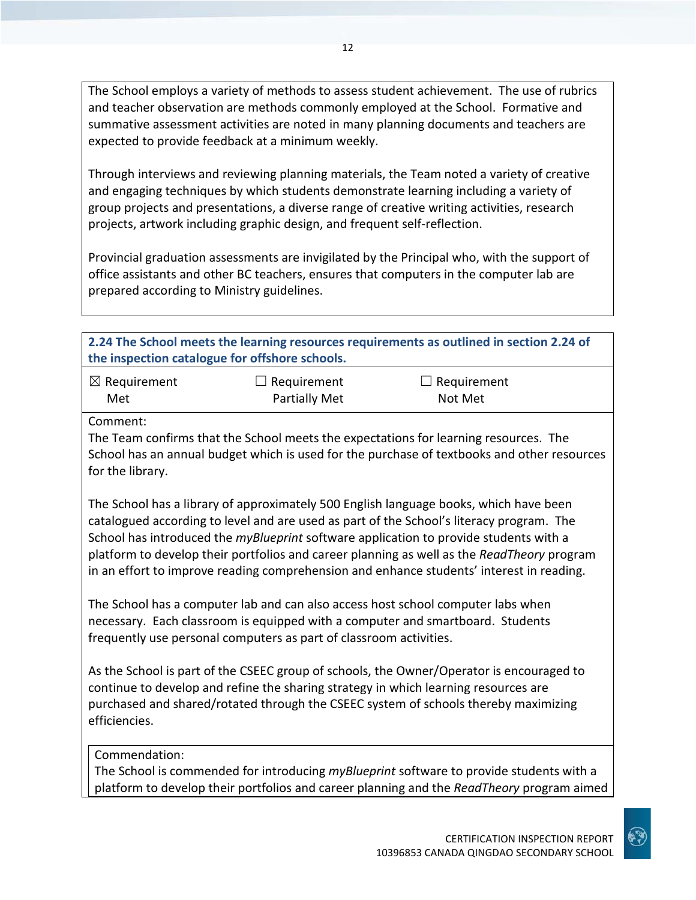The School employs a variety of methods to assess student achievement. The use of rubrics and teacher observation are methods commonly employed at the School. Formative and summative assessment activities are noted in many planning documents and teachers are expected to provide feedback at a minimum weekly.

Through interviews and reviewing planning materials, the Team noted a variety of creative and engaging techniques by which students demonstrate learning including a variety of group projects and presentations, a diverse range of creative writing activities, research projects, artwork including graphic design, and frequent self-reflection.

Provincial graduation assessments are invigilated by the Principal who, with the support of office assistants and other BC teachers, ensures that computers in the computer lab are prepared according to Ministry guidelines.

| 2.24 The School meets the learning resources requirements as outlined in section 2.24 of<br>the inspection catalogue for offshore schools.                                                                                                                                                                                                                                                                                                                           |                                     |                                                                                                                                                                                             |  |
|----------------------------------------------------------------------------------------------------------------------------------------------------------------------------------------------------------------------------------------------------------------------------------------------------------------------------------------------------------------------------------------------------------------------------------------------------------------------|-------------------------------------|---------------------------------------------------------------------------------------------------------------------------------------------------------------------------------------------|--|
| $\boxtimes$ Requirement<br>Met                                                                                                                                                                                                                                                                                                                                                                                                                                       | Requirement<br><b>Partially Met</b> | Requirement<br>Not Met                                                                                                                                                                      |  |
| Comment:<br>for the library.                                                                                                                                                                                                                                                                                                                                                                                                                                         |                                     | The Team confirms that the School meets the expectations for learning resources. The<br>School has an annual budget which is used for the purchase of textbooks and other resources         |  |
| The School has a library of approximately 500 English language books, which have been<br>catalogued according to level and are used as part of the School's literacy program. The<br>School has introduced the myBlueprint software application to provide students with a<br>platform to develop their portfolios and career planning as well as the ReadTheory program<br>in an effort to improve reading comprehension and enhance students' interest in reading. |                                     |                                                                                                                                                                                             |  |
| The School has a computer lab and can also access host school computer labs when<br>necessary. Each classroom is equipped with a computer and smartboard. Students<br>frequently use personal computers as part of classroom activities.                                                                                                                                                                                                                             |                                     |                                                                                                                                                                                             |  |
| As the School is part of the CSEEC group of schools, the Owner/Operator is encouraged to<br>continue to develop and refine the sharing strategy in which learning resources are<br>purchased and shared/rotated through the CSEEC system of schools thereby maximizing<br>efficiencies.                                                                                                                                                                              |                                     |                                                                                                                                                                                             |  |
| Commendation:                                                                                                                                                                                                                                                                                                                                                                                                                                                        |                                     | The School is commended for introducing <i>myBlueprint</i> software to provide students with a<br>platform to develop their portfolios and career planning and the ReadTheory program aimed |  |

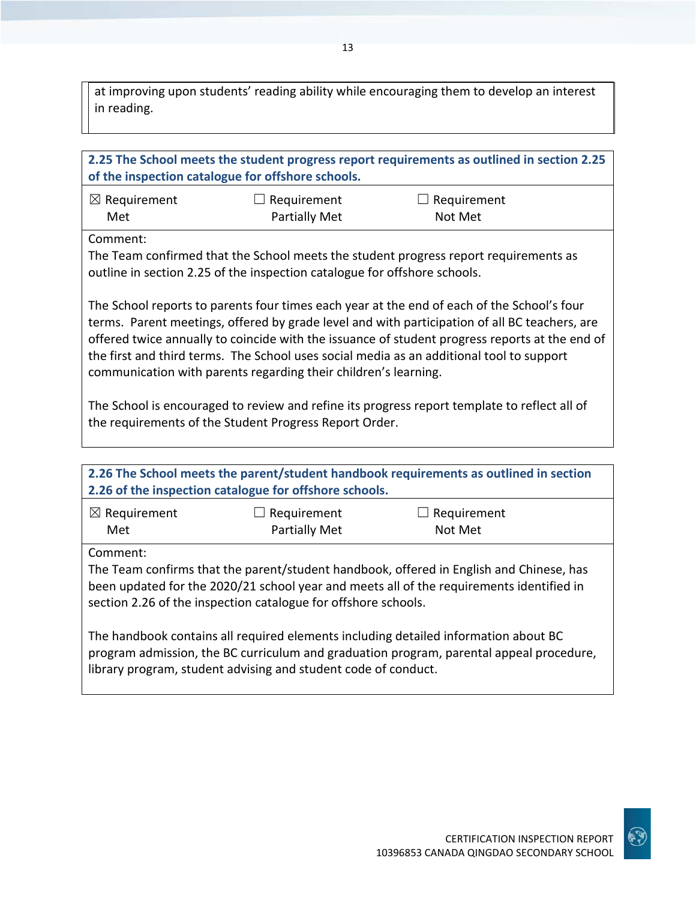at improving upon students' reading ability while encouraging them to develop an interest in reading.

| 2.25 The School meets the student progress report requirements as outlined in section 2.25<br>of the inspection catalogue for offshore schools.                                                                                                                                                                                                                                                                                                              |                                            |                               |  |
|--------------------------------------------------------------------------------------------------------------------------------------------------------------------------------------------------------------------------------------------------------------------------------------------------------------------------------------------------------------------------------------------------------------------------------------------------------------|--------------------------------------------|-------------------------------|--|
| $\boxtimes$ Requirement<br>Met                                                                                                                                                                                                                                                                                                                                                                                                                               | $\Box$ Requirement<br><b>Partially Met</b> | $\Box$ Requirement<br>Not Met |  |
| Comment:<br>The Team confirmed that the School meets the student progress report requirements as<br>outline in section 2.25 of the inspection catalogue for offshore schools.                                                                                                                                                                                                                                                                                |                                            |                               |  |
| The School reports to parents four times each year at the end of each of the School's four<br>terms. Parent meetings, offered by grade level and with participation of all BC teachers, are<br>offered twice annually to coincide with the issuance of student progress reports at the end of<br>the first and third terms. The School uses social media as an additional tool to support<br>communication with parents regarding their children's learning. |                                            |                               |  |
| The School is encouraged to review and refine its progress report template to reflect all of<br>the requirements of the Student Progress Report Order.                                                                                                                                                                                                                                                                                                       |                                            |                               |  |
|                                                                                                                                                                                                                                                                                                                                                                                                                                                              |                                            |                               |  |
| 2.26 The School meets the parent/student handbook requirements as outlined in section<br>2.26 of the inspection catalogue for offshore schools.                                                                                                                                                                                                                                                                                                              |                                            |                               |  |
| $\boxtimes$ Requirement<br>Met                                                                                                                                                                                                                                                                                                                                                                                                                               | $\Box$ Requirement<br><b>Partially Met</b> | $\Box$ Requirement<br>Not Met |  |
| Comment:<br>The Team confirms that the parent/student handbook, offered in English and Chinese, has<br>been updated for the 2020/21 school year and meets all of the requirements identified in<br>section 2.26 of the inspection catalogue for offshore schools.                                                                                                                                                                                            |                                            |                               |  |
| The handbook contains all required elements including detailed information about BC<br>program admission, the BC curriculum and graduation program, parental appeal procedure,                                                                                                                                                                                                                                                                               |                                            |                               |  |

library program, student advising and student code of conduct.

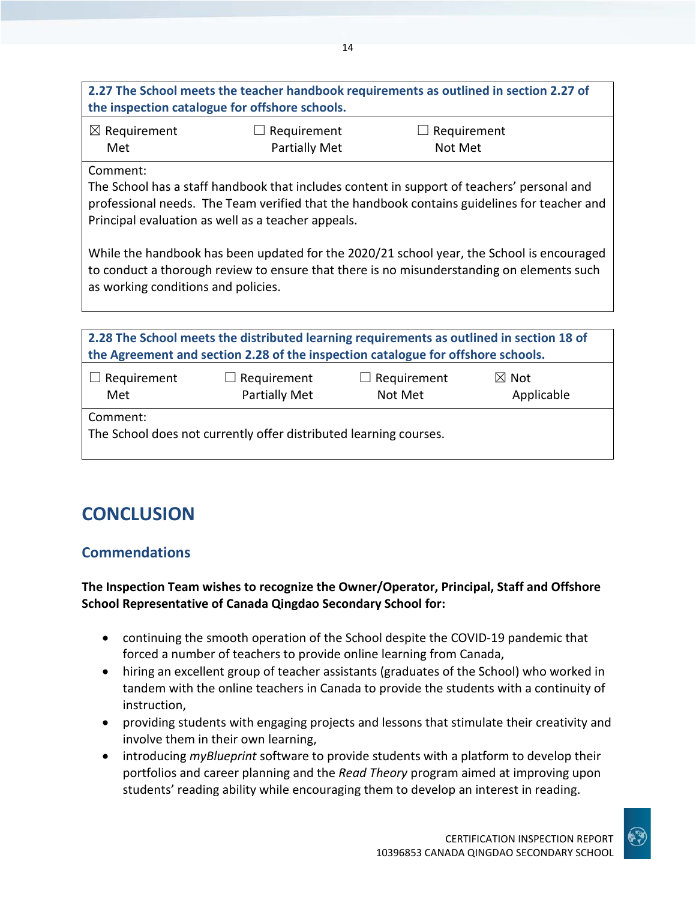## **2.27 The School meets the teacher handbook requirements as outlined in section 2.27 of the inspection catalogue for offshore schools.**

14

| $\boxtimes$ Requirement | $\Box$ Requirement | $\Box$ Requirement |
|-------------------------|--------------------|--------------------|
| Met                     | Partially Met      | Not Met            |

Comment:

The School has a staff handbook that includes content in support of teachers' personal and professional needs. The Team verified that the handbook contains guidelines for teacher and Principal evaluation as well as a teacher appeals.

While the handbook has been updated for the 2020/21 school year, the School is encouraged to conduct a thorough review to ensure that there is no misunderstanding on elements such as working conditions and policies.

| 2.28 The School meets the distributed learning requirements as outlined in section 18 of<br>the Agreement and section 2.28 of the inspection catalogue for offshore schools. |                                     |                               |                               |
|------------------------------------------------------------------------------------------------------------------------------------------------------------------------------|-------------------------------------|-------------------------------|-------------------------------|
| $\Box$ Requirement<br>Met                                                                                                                                                    | $\Box$ Requirement<br>Partially Met | $\Box$ Requirement<br>Not Met | $\boxtimes$ Not<br>Applicable |
| Comment:<br>The School does not currently offer distributed learning courses.                                                                                                |                                     |                               |                               |

## **CONCLUSION**

## **Commendations**

#### **The Inspection Team wishes to recognize the Owner/Operator, Principal, Staff and Offshore School Representative of Canada Qingdao Secondary School for:**

- continuing the smooth operation of the School despite the COVID-19 pandemic that forced a number of teachers to provide online learning from Canada,
- hiring an excellent group of teacher assistants (graduates of the School) who worked in tandem with the online teachers in Canada to provide the students with a continuity of instruction,
- providing students with engaging projects and lessons that stimulate their creativity and involve them in their own learning,
- introducing *myBlueprint* software to provide students with a platform to develop their portfolios and career planning and the *Read Theory* program aimed at improving upon students' reading ability while encouraging them to develop an interest in reading.